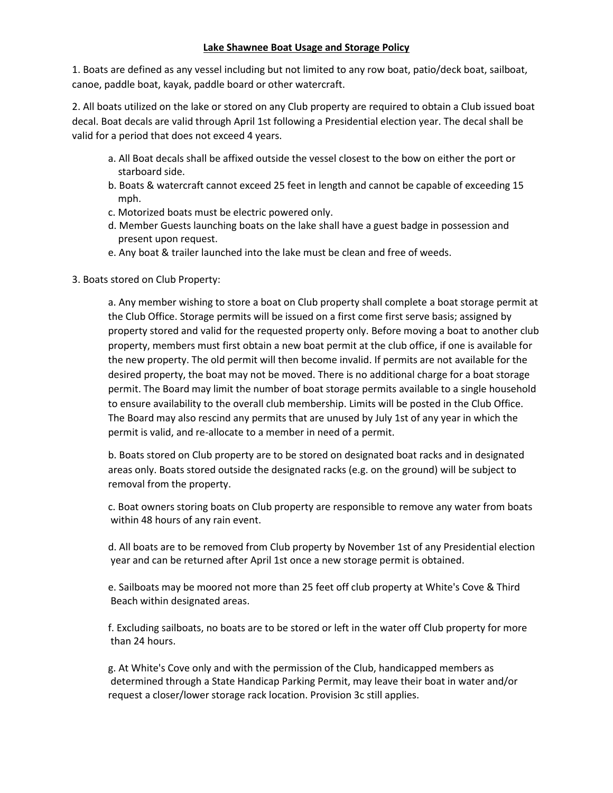## **Lake Shawnee Boat Usage and Storage Policy**

1. Boats are defined as any vessel including but not limited to any row boat, patio/deck boat, sailboat, canoe, paddle boat, kayak, paddle board or other watercraft.

2. All boats utilized on the lake or stored on any Club property are required to obtain a Club issued boat decal. Boat decals are valid through April 1st following a Presidential election year. The decal shall be valid for a period that does not exceed 4 years.

- a. All Boat decals shall be affixed outside the vessel closest to the bow on either the port or starboard side.
- b. Boats & watercraft cannot exceed 25 feet in length and cannot be capable of exceeding 15 mph.
- c. Motorized boats must be electric powered only.
- d. Member Guests launching boats on the lake shall have a guest badge in possession and present upon request.
- e. Any boat & trailer launched into the lake must be clean and free of weeds.
- 3. Boats stored on Club Property:

a. Any member wishing to store a boat on Club property shall complete a boat storage permit at the Club Office. Storage permits will be issued on a first come first serve basis; assigned by property stored and valid for the requested property only. Before moving a boat to another club property, members must first obtain a new boat permit at the club office, if one is available for the new property. The old permit will then become invalid. If permits are not available for the desired property, the boat may not be moved. There is no additional charge for a boat storage permit. The Board may limit the number of boat storage permits available to a single household to ensure availability to the overall club membership. Limits will be posted in the Club Office. The Board may also rescind any permits that are unused by July 1st of any year in which the permit is valid, and re-allocate to a member in need of a permit.

b. Boats stored on Club property are to be stored on designated boat racks and in designated areas only. Boats stored outside the designated racks (e.g. on the ground) will be subject to removal from the property.

c. Boat owners storing boats on Club property are responsible to remove any water from boats within 48 hours of any rain event.

d. All boats are to be removed from Club property by November 1st of any Presidential election year and can be returned after April 1st once a new storage permit is obtained.

e. Sailboats may be moored not more than 25 feet off club property at White's Cove & Third Beach within designated areas.

f. Excluding sailboats, no boats are to be stored or left in the water off Club property for more than 24 hours.

g. At White's Cove only and with the permission of the Club, handicapped members as determined through a State Handicap Parking Permit, may leave their boat in water and/or request a closer/lower storage rack location. Provision 3c still applies.